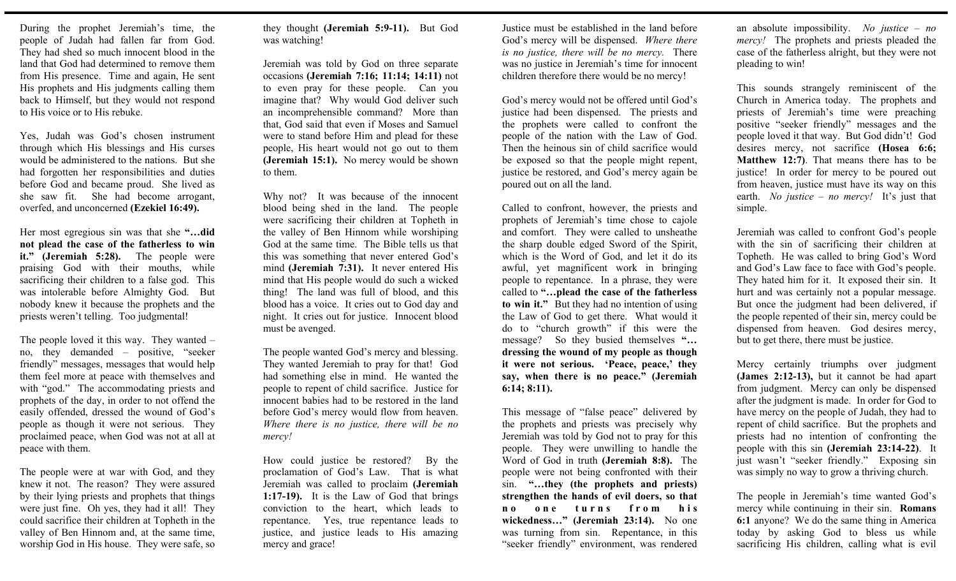During the prophet Jeremiah's time, the people of Judah had fallen far from God. They had shed so much innocent blood in the land that God had determined to remove them from His presence. Time and again, He sent His prophets and His judgments calling them back to Himself, but they would not respond to His voice or to His rebuke.

Yes, Judah was God's chosen instrument through which His blessings and His curses would be administered to the nations. But she had forgotten her responsibilities and duties before God and became proud. She lived as she saw fit. She had become arrogant, overfed, and unconcerned **(Ezekiel 16:49).** 

Her most egregious sin was that she **"…did not plead the case of the fatherless to win it." (Jeremiah 5:28).** The people were praising God with their mouths, while sacrificing their children to a false god. This was intolerable before Almighty God. But nobody knew it because the prophets and the priests weren't telling. Too judgmental!

The people loved it this way. They wanted – no, they demanded – positive, "seeker friendly" messages, messages that would help them feel more at peace with themselves and with "god." The accommodating priests and prophets of the day, in order to not offend the easily offended, dressed the wound of God's people as though it were not serious. They proclaimed peace, when God was not at all at peace with them.

The people were at war with God, and they knew it not. The reason? They were assured by their lying priests and prophets that things were just fine. Oh yes, they had it all! They could sacrifice their children at Topheth in the valley of Ben Hinnom and, at the same time, worship God in His house. They were safe, so they thought **(Jeremiah 5:9-11).** But God was watching!

Jeremiah was told by God on three separate occasions **(Jeremiah 7:16; 11:14; 14:11)** not to even pray for these people. Can you imagine that? Why would God deliver such an incomprehensible command? More than that, God said that even if Moses and Samuel were to stand before Him and plead for these people, His heart would not go out to them **(Jeremiah 15:1).** No mercy would be shown to them.

Why not? It was because of the innocent blood being shed in the land. The people were sacrificing their children at Topheth in the valley of Ben Hinnom while worshiping God at the same time. The Bible tells us that this was something that never entered God's mind **(Jeremiah 7:31).** It never entered His mind that His people would do such a wicked thing! The land was full of blood, and this blood has a voice. It cries out to God day and night. It cries out for justice. Innocent blood must be avenged.

The people wanted God's mercy and blessing. They wanted Jeremiah to pray for that! God had something else in mind. He wanted the people to repent of child sacrifice. Justice for innocent babies had to be restored in the land before God's mercy would flow from heaven. *Where there is no justice, there will be no mercy!*

How could justice be restored? By the proclamation of God's Law. That is what Jeremiah was called to proclaim **(Jeremiah 1:17-19).** It is the Law of God that brings conviction to the heart, which leads to repentance. Yes, true repentance leads to justice, and justice leads to His amazing mercy and grace!

Justice must be established in the land before God's mercy will be dispensed. *Where there is no justice, there will be no mercy.* There was no justice in Jeremiah's time for innocent children therefore there would be no mercy!

God's mercy would not be offered until God's justice had been dispensed. The priests and the prophets were called to confront the people of the nation with the Law of God. Then the heinous sin of child sacrifice would be exposed so that the people might repent, justice be restored, and God's mercy again be poured out on all the land.

Called to confront, however, the priests and prophets of Jeremiah's time chose to cajole and comfort. They were called to unsheathe the sharp double edged Sword of the Spirit, which is the Word of God, and let it do its awful, yet magnificent work in bringing people to repentance. In a phrase, they were called to **"…plead the case of the fatherless to win it."** But they had no intention of using the Law of God to get there. What would it do to "church growth" if this were the message?So they busied themselves **"… dressing the wound of my people as though it were not serious. 'Peace, peace,' they say, when there is no peace." (Jeremiah 6:14; 8:11).** 

This message of "false peace" delivered by the prophets and priests was precisely why Jeremiah was told by God not to pray for this people. They were unwilling to handle the Word of God in truth **(Jeremiah 8:8).** The people were not being confronted with their sin. **"…they (the prophets and priests) strengthen the hands of evil doers, so that**  no one turns from his **wickedness…" (Jeremiah 23:14).** No one was turning from sin. Repentance, in this "seeker friendly" environment, was rendered

an absolute impossibility. *No justice – no mercy!* The prophets and priests pleaded the case of the fatherless alright, but they were not pleading to win!

This sounds strangely reminiscent of the Church in America today. The prophets and priests of Jeremiah's time were preaching positive "seeker friendly" messages and the people loved it that way. But God didn't! God desires mercy, not sacrifice **(Hosea 6:6; Matthew 12:7)**. That means there has to be justice! In order for mercy to be poured out from heaven, justice must have its way on this earth. *No justice – no mercy!* It's just that simple.

Jeremiah was called to confront God's people with the sin of sacrificing their children at Topheth. He was called to bring God's Word and God's Law face to face with God's people. They hated him for it. It exposed their sin. It hurt and was certainly not a popular message. But once the judgment had been delivered, if the people repented of their sin, mercy could be dispensed from heaven. God desires mercy, but to get there, there must be justice.

Mercy certainly triumphs over judgment **(James 2:12-13),** but it cannot be had apart from judgment. Mercy can only be dispensed after the judgment is made. In order for God to have mercy on the people of Judah, they had to repent of child sacrifice. But the prophets and priests had no intention of confronting the people with this sin **(Jeremiah 23:14-22)**. It just wasn't "seeker friendly." Exposing sin was simply no way to grow a thriving church.

The people in Jeremiah's time wanted God's mercy while continuing in their sin. **Romans 6:1** anyone? We do the same thing in America today by asking God to bless us while sacrificing His children, calling what is evil